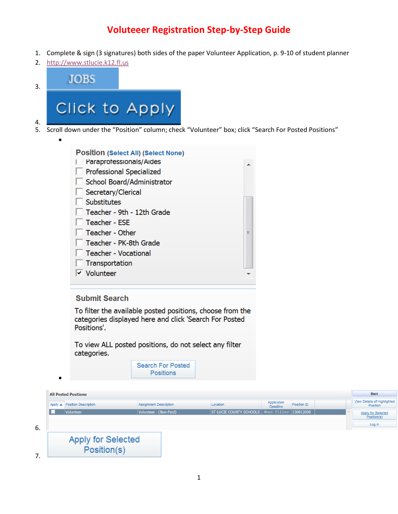# **Voluteeer Registration Step-by-Step Guide**

- 1. Complete & sign (3 signatures) both sides of the paper Volunteer Application, p. 9-10 of student planner
- 2. [http://www.stlucie.k12.fl.us](http://www.stlucie.k12.fl.us/)

 $\bullet$ 

 $\bullet$ 

| $\overline{3}$ . |                                                |
|------------------|------------------------------------------------|
|                  | Click to Apply                                 |
| 5.               | Scroll down under the "Position" column; check |

k "Volunteer" box; click "Search For Posted Positions"

| <b>Position (Select All) (Select None)</b> |   |
|--------------------------------------------|---|
| Paraprofessionals/Aides                    |   |
| <b>Professional Specialized</b>            |   |
| School Board/Administrator                 |   |
| Secretary/Clerical                         |   |
| Substitutes                                |   |
| Teacher - 9th - 12th Grade                 |   |
| Teacher - ESE                              |   |
| Teacher - Other                            | Ξ |
| Teacher - PK-8th Grade                     |   |
| Teacher - Vocational                       |   |
| Transportation                             |   |
| $\triangledown$ Volunteer                  |   |
|                                            |   |

# **Submit Search**

To filter the available posted positions, choose from the categories displayed here and click 'Search For Posted Positions'.

To view ALL posted positions, do not select any filter categories.

> **Search For Posted Positions**

|          | <b>All Posted Positions</b>  |                               |                                                   |                         |             |  | <b>Back</b>                                    |
|----------|------------------------------|-------------------------------|---------------------------------------------------|-------------------------|-------------|--|------------------------------------------------|
|          | Apply • Position Description | <b>Assignment Description</b> | Location                                          | Application<br>Deadline | Position ID |  | <b>View Details of Highlighted</b><br>Position |
|          | Volunteer                    | Volunteer - (Non-Paid)        | ST LUCIE COUNTY SCHOOLS   When Filled   130812008 |                         |             |  | <b>Apply for Selected</b><br>Position(s)       |
| 6.       |                              |                               |                                                   |                         |             |  | Log In                                         |
|          |                              |                               |                                                   |                         |             |  |                                                |
|          | <b>Apply for Selected</b>    |                               |                                                   |                         |             |  |                                                |
| 7<br>, , | Position(s)                  |                               |                                                   |                         |             |  |                                                |

1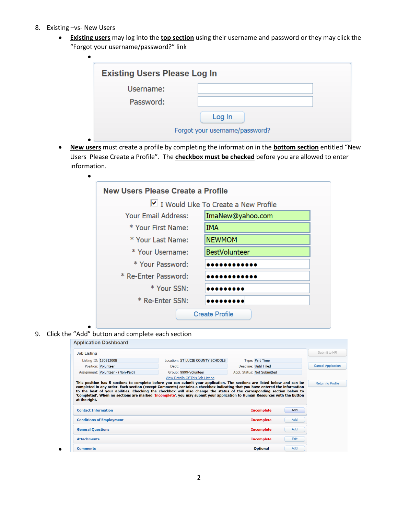8. Existing –vs- New Users

 $\bullet$ 

 **Existing users** may log into the **top section** using their username and password or they may click the "Forgot your username/password?" link

| <b>Existing Users Please Log In</b> |                                |
|-------------------------------------|--------------------------------|
| Username:                           |                                |
| Password:                           |                                |
|                                     | Log In                         |
|                                     | Forgot your username/password? |

 **New users** must create a profile by completing the information in the **bottom section** entitled "New Users Please Create a Profile". The **checkbox must be checked** before you are allowed to enter information.

| <b>New Users Please Create a Profile</b> |                                      |
|------------------------------------------|--------------------------------------|
|                                          | I Would Like To Create a New Profile |
| Your Email Address:                      | ImaNew@yahoo.com                     |
| * Your First Name:                       | IMA                                  |
| * Your Last Name:                        | <b>NEWMOM</b>                        |
| * Your Username:                         | <b>BestVolunteer</b>                 |
| * Your Password:                         |                                      |
| * Re-Enter Password:                     |                                      |
| * Your SSN:                              |                                      |
| * Re-Enter SSN:                          |                                      |
|                                          | <b>Create Profile</b>                |

 $\bullet$ 9. Click the "Add" button and complete each section

 $\bullet$ 

| <b>Job Listing</b>                          |                                                                                                                                                                                                                                                     |       |                                                                                                                           |                                        |            | Submit to HR              |
|---------------------------------------------|-----------------------------------------------------------------------------------------------------------------------------------------------------------------------------------------------------------------------------------------------------|-------|---------------------------------------------------------------------------------------------------------------------------|----------------------------------------|------------|---------------------------|
|                                             | Listing ID: 130812008                                                                                                                                                                                                                               |       | Location: ST LUCIE COUNTY SCHOOLS                                                                                         | Type: Part Time                        |            |                           |
|                                             | Position: Volunteer                                                                                                                                                                                                                                 | Dept: |                                                                                                                           | Deadline: Until Filled                 |            | <b>Cancel Application</b> |
|                                             | Assignment: Volunteer - (Non-Paid)                                                                                                                                                                                                                  |       | Group: 9999-Volunteer                                                                                                     | Appl. Status: Not Submitted            |            |                           |
|                                             | completed in any order. Each section (except Comments) contains a checkbox indicating that you have entered the information                                                                                                                         |       | This position has 5 sections to complete before you can submit your application. The sections are listed below and can be |                                        |            | <b>Return to Profile</b>  |
|                                             | to the best of your abilities. Checking the checkbox will also change the status of the corresponding section below to<br>'Completed'. When no sections are marked 'Incomplete', you may submit your application to Human Resources with the button |       |                                                                                                                           |                                        |            |                           |
| at the right.<br><b>Contact Information</b> | <b>Conditions of Employment</b>                                                                                                                                                                                                                     |       |                                                                                                                           | <b>Incomplete</b><br><b>Incomplete</b> | Add<br>Add |                           |
| <b>General Questions</b>                    |                                                                                                                                                                                                                                                     |       |                                                                                                                           | <b>Incomplete</b>                      | Add        |                           |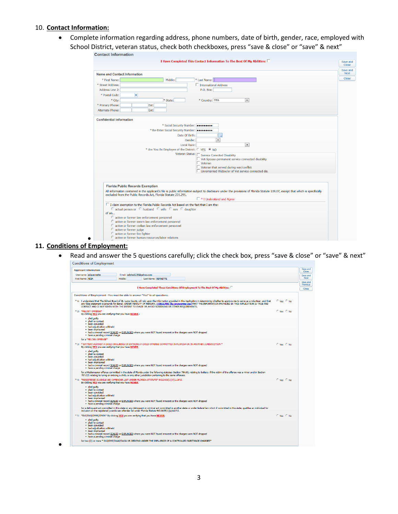#### 10. **Contact Information:**

 Complete information regarding address, phone numbers, date of birth, gender, race, employed with School District, veteran status, check both checkboxes, press "save & close" or "save" & next"



### **11. Conditions of Employment:**

 Read and answer the 5 questions carefully; click the check box, press "save & close" or "save" & next" **Conditions of Employment** 

| <b>Applicant Information</b>                                                                                                                       |         |                                                                                                            |                                                                                                                                                                                                                                                                                                                                                                   |                 | Save and<br>Close    |
|----------------------------------------------------------------------------------------------------------------------------------------------------|---------|------------------------------------------------------------------------------------------------------------|-------------------------------------------------------------------------------------------------------------------------------------------------------------------------------------------------------------------------------------------------------------------------------------------------------------------------------------------------------------------|-----------------|----------------------|
| Username: adiavernette                                                                                                                             |         | Email: adisha1228@vahoo.com                                                                                |                                                                                                                                                                                                                                                                                                                                                                   |                 | Save and             |
| First Name: ADIA                                                                                                                                   | Middle: | Last Name: VERNETTE                                                                                        |                                                                                                                                                                                                                                                                                                                                                                   |                 | Next                 |
|                                                                                                                                                    |         |                                                                                                            |                                                                                                                                                                                                                                                                                                                                                                   |                 | Save and<br>Previous |
|                                                                                                                                                    |         |                                                                                                            | I Have Completed These Conditions Of Employment To The Best Of My Abilities: $\Box$                                                                                                                                                                                                                                                                               |                 | Close                |
|                                                                                                                                                    |         |                                                                                                            |                                                                                                                                                                                                                                                                                                                                                                   |                 |                      |
| Conditions of Employment - You must be able to answer "Yes" to all questions.                                                                      |         |                                                                                                            |                                                                                                                                                                                                                                                                                                                                                                   |                 |                      |
|                                                                                                                                                    |         | CORRECT AND IS NOT GIVEN WITH THE INTENT TO EVADE OR AVOID SCREENING OR OTHER REOUIREMENTS.                | * 1: I understand that The School Board of St. Lucie County will rely upon the information provided in this Application in determining whether to approve me to serve as a volunteer, and that<br>any false statement is grounds for denial. UNDER PENALTY OF PERJURY, I DECLARE (by answering yes) THAT THE INFORMATION PROVIDED IN THIS APPLICATION IS TRUE AND | $C$ Yes $C$ No. |                      |
| * 2: *FELONY OFFENSE*<br>By clicking YES you are verifying that you have NEVER :                                                                   |         |                                                                                                            |                                                                                                                                                                                                                                                                                                                                                                   | $C$ Yes $C$ No. |                      |
| • pled quilty<br>· pled no contest<br>· heen convicted<br>· had adjudication withheld<br>· been imprisoned                                         |         |                                                                                                            |                                                                                                                                                                                                                                                                                                                                                                   |                 |                      |
| . have a pending criminal charge                                                                                                                   |         |                                                                                                            | . had a criminal record SEALED or EXPUNGED where you were NOT found innocent or the charges were NOT dropped                                                                                                                                                                                                                                                      |                 |                      |
| for a *FELONY OFFENSE*                                                                                                                             |         |                                                                                                            |                                                                                                                                                                                                                                                                                                                                                                   |                 |                      |
| By clicking YES you are verifying that you have NEVER                                                                                              |         |                                                                                                            | * 3: * BATTERY AGAINST A CHILD OR LURING OR ENTICING A CHILD OFFENSE COMMITTED IN FLORIDA OR IN ANOTHER JURISDICITION *                                                                                                                                                                                                                                           | $C$ Yes $C$ No. |                      |
| • pled quilty<br>· pled no contest<br>· been convicted<br>· had adjudication withheld<br>• been imprisoned<br>. have a pending criminal charge     |         |                                                                                                            | . had a criminal record SEALED or EXPUNGED where you were NOT found innocent or the charges were NOT dropped                                                                                                                                                                                                                                                      |                 |                      |
|                                                                                                                                                    |         | 787.025 relating to luring or enticing a child, or any other jurisdiction pertaining to the same offenses. | for a Misdemeanor offense committed in the state of Florida under the following statutes: Section 784.03, relating to battery, if the victim of the offense was a minor and/or Section                                                                                                                                                                            |                 |                      |
| * 4: *REGISTERED JUVENILE SEX OFFENDER LIST UNDER FLORIDA STATUTE* 943.0435(1)(A)1.d.F.S.<br>By clicking YES you are verifying that you have NEVER |         |                                                                                                            |                                                                                                                                                                                                                                                                                                                                                                   | $C$ Yes $C$ No. |                      |
| · pled quilty<br>· pled no contest<br>• been convicted<br>. had adjudication withheld<br>• been imprisoned<br>. have a pending criminal charge     |         |                                                                                                            | . had a criminal record SEALED or EXPUNGED where you were NOT found innocent or the charges were NOT dropped                                                                                                                                                                                                                                                      |                 |                      |
|                                                                                                                                                    |         | inclusion on the registered juvenile sex offender list under Florida Statute 943.0435(1)(a)1d.F.S.         | for a delinguent act committed in this state or any delinguent or criminal act committed in another state or under federal law which if committed in this state, qualifies an individual for                                                                                                                                                                      |                 |                      |
| * 5: *DUI/DWI/DWAI/DWIA* By clicking YES you are verifying that you have NEVER;                                                                    |         |                                                                                                            |                                                                                                                                                                                                                                                                                                                                                                   | $C$ Yes $C$ No. |                      |
| • pled quilty<br>• pled no contest<br>• been convicted<br>. had adjudication withheld<br>• been imprisoned                                         |         |                                                                                                            |                                                                                                                                                                                                                                                                                                                                                                   |                 |                      |
| • have a pending criminal charge                                                                                                                   |         |                                                                                                            | . had a criminal record SEALED or EXPUNGED where you were NOT found innocent or the charges were NOT dropped                                                                                                                                                                                                                                                      |                 |                      |
|                                                                                                                                                    |         |                                                                                                            | for two (2) or more * DUI/DWI/DWAI/DWIA OR DRIVING UNDER THE INFLUENCE OF A CONTROLLED SUBSTANCE CHARGES*                                                                                                                                                                                                                                                         |                 |                      |

 $\bullet$